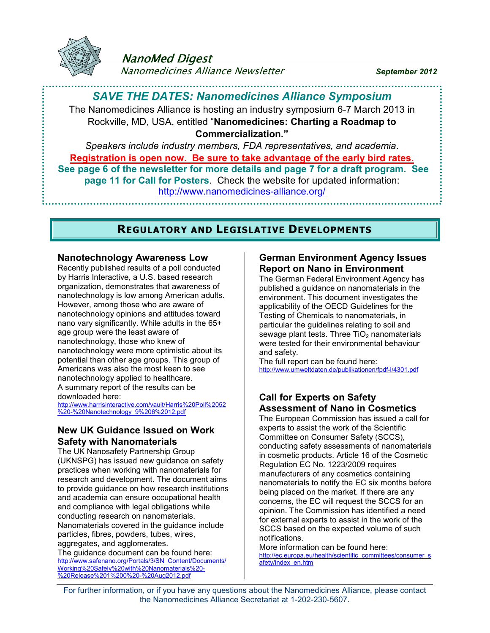

# NanoMed Digest

Nanomedicines Alliance Newsletter *September 2012*

# *SAVE THE DATES: Nanomedicines Alliance Symposium*

The Nanomedicines Alliance is hosting an industry symposium 6-7 March 2013 in Rockville, MD, USA, entitled "**Nanomedicines: Charting a Roadmap to Commercialization."**

*Speakers include industry members, FDA representatives, and academia*. **Registration is open now. Be sure to take advantage of the early bird rates. See page 6 of the newsletter for more details and page 7 for a draft program. See page 11 for Call for Posters**. Check the website for updated information: <http://www.nanomedicines-alliance.org/>

# **REGULATORY AND LEGISLATIVE DEVELOPMENTS**

### **Nanotechnology Awareness Low**

Recently published results of a poll conducted by Harris Interactive, a U.S. based research organization, demonstrates that awareness of nanotechnology is low among American adults. However, among those who are aware of nanotechnology opinions and attitudes toward nano vary significantly. While adults in the 65+ age group were the least aware of nanotechnology, those who knew of nanotechnology were more optimistic about its potential than other age groups. This group of Americans was also the most keen to see nanotechnology applied to healthcare. A summary report of the results can be downloaded here:

[http://www.harrisinteractive.com/vault/Harris%20Poll%2052](http://www.harrisinteractive.com/vault/Harris Poll 52 - Nanotechnology_9 6 12.pdf) [%20-%20Nanotechnology\\_9%206%2012.pdf](http://www.harrisinteractive.com/vault/Harris Poll 52 - Nanotechnology_9 6 12.pdf)

### **New UK Guidance Issued on Work Safety with Nanomaterials**

The UK Nanosafety Partnership Group (UKNSPG) has issued new guidance on safety practices when working with nanomaterials for research and development. The document aims to provide guidance on how research institutions and academia can ensure occupational health and compliance with legal obligations while conducting research on nanomaterials. Nanomaterials covered in the guidance include particles, fibres, powders, tubes, wires, aggregates, and agglomerates.

The guidance document can be found here: [http://www.safenano.org/Portals/3/SN\\_Content/Documents/](http://www.safenano.org/Portals/3/SN_Content/Documents/Working Safely with Nanomaterials - Release 1 0 - Aug2012.pdf) [Working%20Safely%20with%20Nanomaterials%20-](http://www.safenano.org/Portals/3/SN_Content/Documents/Working Safely with Nanomaterials - Release 1 0 - Aug2012.pdf) [%20Release%201%200%20-%20Aug2012.pdf](http://www.safenano.org/Portals/3/SN_Content/Documents/Working Safely with Nanomaterials - Release 1 0 - Aug2012.pdf)

### **German Environment Agency Issues Report on Nano in Environment**

The German Federal Environment Agency has published a guidance on nanomaterials in the environment. This document investigates the applicability of the OECD Guidelines for the Testing of Chemicals to nanomaterials, in particular the guidelines relating to soil and sewage plant tests. Three  $TiO<sub>2</sub>$  nanomaterials were tested for their environmental behaviour and safety.

The full report can be found here: <http://www.umweltdaten.de/publikationen/fpdf-l/4301.pdf>

## **Call for Experts on Safety Assessment of Nano in Cosmetics**

The European Commission has issued a call for experts to assist the work of the Scientific Committee on Consumer Safety (SCCS), conducting safety assessments of nanomaterials in cosmetic products. Article 16 of the Cosmetic Regulation EC No. 1223/2009 requires manufacturers of any cosmetics containing nanomaterials to notify the EC six months before being placed on the market. If there are any concerns, the EC will request the SCCS for an opinion. The Commission has identified a need for external experts to assist in the work of the SCCS based on the expected volume of such notifications.

More information can be found here: [http://ec.europa.eu/health/scientific\\_committees/consumer\\_s](http://ec.europa.eu/health/scientific_committees/consumer_safety/index_en.htm) [afety/index\\_en.htm](http://ec.europa.eu/health/scientific_committees/consumer_safety/index_en.htm)

For further information, or if you have any questions about the Nanomedicines Alliance, please contact the Nanomedicines Alliance Secretariat at 1-202-230-5607.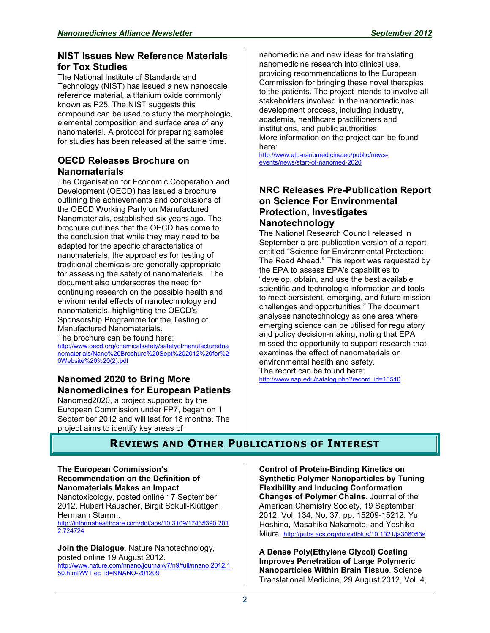## **NIST Issues New Reference Materials for Tox Studies**

The National Institute of Standards and Technology (NIST) has issued a new nanoscale reference material, a titanium oxide commonly known as P25. The NIST suggests this compound can be used to study the morphologic, elemental composition and surface area of any nanomaterial. A protocol for preparing samples for studies has been released at the same time.

## **OECD Releases Brochure on Nanomaterials**

The Organisation for Economic Cooperation and Development (OECD) has issued a brochure outlining the achievements and conclusions of the OECD Working Party on Manufactured Nanomaterials, established six years ago. The brochure outlines that the OECD has come to the conclusion that while they may need to be adapted for the specific characteristics of nanomaterials, the approaches for testing of traditional chemicals are generally appropriate for assessing the safety of nanomaterials. The document also underscores the need for continuing research on the possible health and environmental effects of nanotechnology and nanomaterials, highlighting the OECD's Sponsorship Programme for the Testing of Manufactured Nanomaterials. The brochure can be found here:

[http://www.oecd.org/chemicalsafety/safetyofmanufacturedna](http://www.oecd.org/chemicalsafety/safetyofmanufacturednanomaterials/Nano Brochure Sept 2012 for Website  (2).pdf) [nomaterials/Nano%20Brochure%20Sept%202012%20for%2](http://www.oecd.org/chemicalsafety/safetyofmanufacturednanomaterials/Nano Brochure Sept 2012 for Website  (2).pdf) [0Website%20%20\(2\).pdf](http://www.oecd.org/chemicalsafety/safetyofmanufacturednanomaterials/Nano Brochure Sept 2012 for Website  (2).pdf)

# **Nanomed 2020 to Bring More Nanomedicines for European Patients**

Nanomed2020, a project supported by the European Commission under FP7, began on 1 September 2012 and will last for 18 months. The project aims to identify key areas of

nanomedicine and new ideas for translating nanomedicine research into clinical use, providing recommendations to the European Commission for bringing these novel therapies to the patients. The project intends to involve all stakeholders involved in the nanomedicines development process, including industry, academia, healthcare practitioners and institutions, and public authorities. More information on the project can be found here:

[http://www.etp-nanomedicine.eu/public/news](http://www.etp-nanomedicine.eu/public/news-events/news/start-of-nanomed-2020)[events/news/start-of-nanomed-2020](http://www.etp-nanomedicine.eu/public/news-events/news/start-of-nanomed-2020) 

### **NRC Releases Pre-Publication Report on Science For Environmental Protection, Investigates Nanotechnology**

The National Research Council released in September a pre-publication version of a report entitled "Science for Environmental Protection: The Road Ahead." This report was requested by the EPA to assess EPA's capabilities to "develop, obtain, and use the best available scientific and technologic information and tools to meet persistent, emerging, and future mission challenges and opportunities." The document analyses nanotechnology as one area where emerging science can be utilised for regulatory and policy decision-making, noting that EPA missed the opportunity to support research that examines the effect of nanomaterials on environmental health and safety.

The report can be found here: [http://www.nap.edu/catalog.php?record\\_id=13510](http://www.nap.edu/catalog.php?record_id=13510)

# **REVIEWS AND OTHER PUBLICATIONS OF INTEREST**

#### **The European Commission's Recommendation on the Definition of Nanomaterials Makes an Impact**.

Nanotoxicology, posted online 17 September 2012. Hubert Rauscher, Birgit Sokull-Klüttgen, Hermann Stamm.

[http://informahealthcare.com/doi/abs/10.3109/17435390.201](http://informahealthcare.com/doi/abs/10.3109/17435390.2012.724724) [2.724724](http://informahealthcare.com/doi/abs/10.3109/17435390.2012.724724)

**Join the Dialogue**. Nature Nanotechnology, posted online 19 August 2012. [http://www.nature.com/nnano/journal/v7/n9/full/nnano.2012.1](http://www.nature.com/nnano/journal/v7/n9/full/nnano.2012.150.html?WT.ec_id=NNANO-201209) [50.html?WT.ec\\_id=NNANO-201209](http://www.nature.com/nnano/journal/v7/n9/full/nnano.2012.150.html?WT.ec_id=NNANO-201209)

**Control of Protein-Binding Kinetics on Synthetic Polymer Nanoparticles by Tuning Flexibility and Inducing Conformation Changes of Polymer Chains**. Journal of the American Chemistry Society, 19 September 2012, Vol. 134, No. 37, pp. 15209-15212. Yu Hoshino, Masahiko Nakamoto, and Yoshiko Miura. <http://pubs.acs.org/doi/pdfplus/10.1021/ja306053s>

**A Dense Poly(Ethylene Glycol) Coating Improves Penetration of Large Polymeric Nanoparticles Within Brain Tissue**. Science Translational Medicine, 29 August 2012, Vol. 4,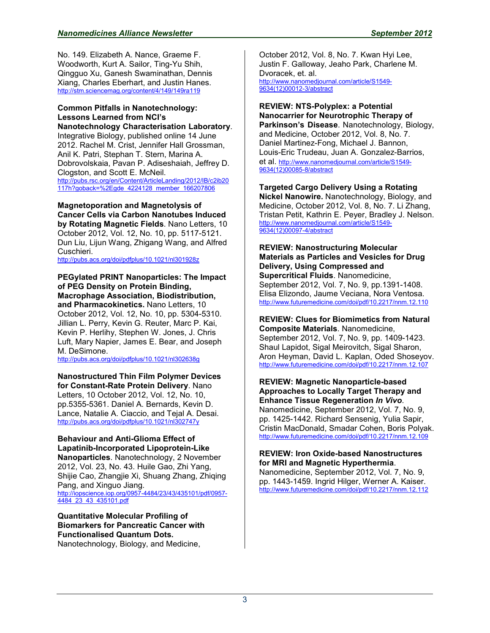No. 149. Elizabeth A. Nance, Graeme F. Woodworth, Kurt A. Sailor, Ting-Yu Shih, Qingguo Xu, Ganesh Swaminathan, Dennis Xiang, Charles Eberhart, and Justin Hanes. <http://stm.sciencemag.org/content/4/149/149ra119>

### **Common Pitfalls in Nanotechnology: Lessons Learned from NCI's**

**Nanotechnology Characterisation Laboratory**. Integrative Biology, published online 14 June 2012. Rachel M. Crist, Jennifer Hall Grossman, Anil K. Patri, Stephan T. Stern, Marina A. Dobrovolskaia, Pavan P. Adiseshaiah, Jeffrey D. Clogston, and Scott E. McNeil. [http://pubs.rsc.org/en/Content/ArticleLanding/2012/IB/c2ib20](http://pubs.rsc.org/en/Content/ArticleLanding/2012/IB/c2ib20117h?goback=.gde_4224128_member_166207806)

[117h?goback=%2Egde\\_4224128\\_member\\_166207806](http://pubs.rsc.org/en/Content/ArticleLanding/2012/IB/c2ib20117h?goback=.gde_4224128_member_166207806) 

**Magnetoporation and Magnetolysis of Cancer Cells via Carbon Nanotubes Induced by Rotating Magnetic Fields**. Nano Letters, 10 October 2012, Vol. 12, No. 10, pp. 5117-5121. Dun Liu, Lijun Wang, Zhigang Wang, and Alfred Cuschieri.

<http://pubs.acs.org/doi/pdfplus/10.1021/nl301928z>

#### **PEGylated PRINT Nanoparticles: The Impact of PEG Density on Protein Binding, Macrophage Association, Biodistribution, and Pharmacokinetics.** Nano Letters, 10

October 2012, Vol. 12, No. 10, pp. 5304-5310. Jillian L. Perry, Kevin G. Reuter, Marc P. Kai, Kevin P. Herlihy, Stephen W. Jones, J. Chris Luft, Mary Napier, James E. Bear, and Joseph M. DeSimone.

<http://pubs.acs.org/doi/pdfplus/10.1021/nl302638g>

#### **Nanostructured Thin Film Polymer Devices**

**for Constant-Rate Protein Delivery**. Nano Letters, 10 October 2012, Vol. 12, No. 10, pp.5355-5361. Daniel A. Bernards, Kevin D. Lance, Natalie A. Ciaccio, and Tejal A. Desai. <http://pubs.acs.org/doi/pdfplus/10.1021/nl302747y>

#### **Behaviour and Anti-Glioma Effect of Lapatinib-Incorporated Lipoprotein-Like**

**Nanoparticles**. Nanotechnology, 2 November 2012, Vol. 23, No. 43. Huile Gao, Zhi Yang, Shijie Cao, Zhangjie Xi, Shuang Zhang, Zhiqing Pang, and Xinguo Jiang. [http://iopscience.iop.org/0957-4484/23/43/435101/pdf/0957-](http://iopscience.iop.org/0957-4484/23/43/435101/pdf/0957-4484_23_43_435101.pdf) [4484\\_23\\_43\\_435101.pdf](http://iopscience.iop.org/0957-4484/23/43/435101/pdf/0957-4484_23_43_435101.pdf) 

**Quantitative Molecular Profiling of Biomarkers for Pancreatic Cancer with Functionalised Quantum Dots.** 

Nanotechnology, Biology, and Medicine,

October 2012, Vol. 8, No. 7. Kwan Hyi Lee, Justin F. Galloway, Jeaho Park, Charlene M. Dvoracek, et. al. [http://www.nanomedjournal.com/article/S1549-](http://www.nanomedjournal.com/article/S1549-9634(12)00012-3/abstract) [9634\(12\)00012-3/abstract](http://www.nanomedjournal.com/article/S1549-9634(12)00012-3/abstract) 

**REVIEW: NTS-Polyplex: a Potential Nanocarrier for Neurotrophic Therapy of Parkinson's Disease**. Nanotechnology, Biology, and Medicine, October 2012, Vol. 8, No. 7. Daniel Martinez-Fong, Michael J. Bannon, Louis-Eric Trudeau, Juan A. Gonzalez-Bar[rio](http://www.nanomedjournal.com/article/S1549-9634(12)00085-8/abstract)s, et al. [http://www.nanomedjournal.com/article/S1549-](http://www.nanomedjournal.com/article/S1549-9634(12)00085-8/abstract) [9634\(12\)00085-8/abstract](http://www.nanomedjournal.com/article/S1549-9634(12)00085-8/abstract) 

**Targeted Cargo Delivery Using a Rotating Nickel Nanowire.** Nanotechnology, Biology, and Medicine, October 2012, Vol. 8, No. 7. Li Zhang, Tristan Petit, Kathrin E. Peyer, Bradl[ey](http://www.nanomedjournal.com/article/S1549-9634(12)00097-4/abstract) J. Nelson. [http://www.nanomedjournal.com/article/S1549-](http://www.nanomedjournal.com/article/S1549-9634(12)00097-4/abstract) [9634\(12\)00097-4/abstract](http://www.nanomedjournal.com/article/S1549-9634(12)00097-4/abstract) 

#### **REVIEW: Nanostructuring Molecular Materials as Particles and Vesicles for Drug Delivery, Using Compressed and Supercritical Fluids**. Nanomedicine, September 2012, Vol. 7, No. 9, pp.1391-1408. Elisa Elizondo, Jaume Veciana, Nora Ventosa. <http://www.futuremedicine.com/doi/pdf/10.2217/nnm.12.110>

**REVIEW: Clues for Biomimetics from Natural Composite Materials**. Nanomedicine, September 2012, Vol. 7, No. 9, pp. 1409-1423. Shaul Lapidot, Sigal Meirovitch, Sigal Sharon, Aron Heyman, David L. Kaplan, Oded Shoseyov. <http://www.futuremedicine.com/doi/pdf/10.2217/nnm.12.107>

**REVIEW: Magnetic Nanoparticle-based Approaches to Locally Target Therapy and Enhance Tissue Regeneration** *In Vivo*. Nanomedicine, September 2012, Vol. 7, No. 9, pp. 1425-1442. Richard Sensenig, Yulia Sapir, Cristin MacDonald, Smadar Cohen, Boris Polyak. <http://www.futuremedicine.com/doi/pdf/10.2217/nnm.12.109>

#### **REVIEW: Iron Oxide-based Nanostructures for MRI and Magnetic Hyperthermia**.

Nanomedicine, September 2012, Vol. 7, No. 9, pp. 1443-1459. Ingrid Hilger, Werner A. Kaiser. <http://www.futuremedicine.com/doi/pdf/10.2217/nnm.12.112>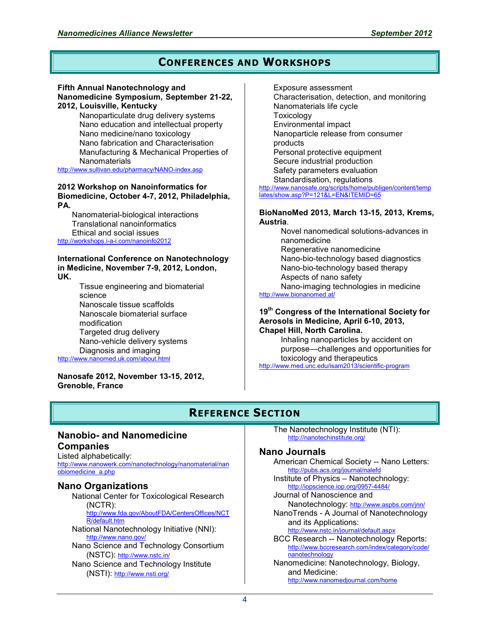# **CONFERENCES AND WORKSHOPS**

#### **Fifth Annual Nanotechnology and**

**Nanomedicine Symposium, September 21-22, 2012, Louisville, Kentucky**

Nanoparticulate drug delivery systems Nano education and intellectual property Nano medicine/nano toxicology Nano fabrication and Characterisation Manufacturing & Mechanical Properties of **Nanomaterials** 

<http://www.sullivan.edu/pharmacy/NANO-index.asp>

#### **2012 Workshop on Nanoinformatics for Biomedicine, October 4-7, 2012, Philadelphia, PA.**

Nanomaterial-biological interactions Translational nanoinformatics Ethical and social issues <http://workshops.i-a-i.com/nanoinfo2012>

#### **International Conference on Nanotechnology in Medicine, November 7-9, 2012, London, UK.**

Tissue engineering and biomaterial science Nanoscale tissue scaffolds Nanoscale biomaterial surface modification Targeted drug delivery Nano-vehicle delivery systems Diagnosis and imaging <http://www.nanomed.uk.com/about.html>

#### **Nanosafe 2012, November 13-15, 2012, Grenoble, France**

Exposure assessment Characterisation, detection, and monitoring Nanomaterials life cycle **Toxicology** Environmental impact Nanoparticle release from consumer products Personal protective equipment Secure industrial production Safety parameters evaluation Standardisation, regulations [http://www.nanosafe.org/scripts/home/publigen/content/temp](http://www.nanosafe.org/scripts/home/publigen/content/templates/show.asp?P=121&L=EN&ITEMID=65) [lates/show.asp?P=121&L=EN&ITEMID=65](http://www.nanosafe.org/scripts/home/publigen/content/templates/show.asp?P=121&L=EN&ITEMID=65)

#### **BioNanoMed 2013, March 13-15, 2013, Krems, Austria**.

Novel nanomedical solutions-advances in nanomedicine Regenerative nanomedicine Nano-bio-technology based diagnostics Nano-bio-technology based therapy Aspects of nano safety Nano-imaging technologies in medicine <http://www.bionanomed.at/>

#### **19th Congress of the International Society for Aerosols in Medicine, April 6-10, 2013, Chapel Hill, North Carolina.**

Inhaling nanoparticles by accident on purpose—challenges and opportunities for toxicology and therapeutics

<http://www.med.unc.edu/isam2013/scientific-program>

# **REFERENCE SECTION**

### **Nanobio- and Nanomedicine Companies**

Listed alphabetically: [http://www.nanowerk.com/nanotechnology/nanomaterial/nan](http://www.nanowerk.com/nanotechnology/nanomaterial/nanobiomedicine_a.php) [obiomedicine\\_a.php](http://www.nanowerk.com/nanotechnology/nanomaterial/nanobiomedicine_a.php)

### **Nano Organizations**

National Center for Toxicological Research (NCTR): [http://www.fda.gov/AboutFDA/CentersOffices/NCT](http://www.fda.gov/AboutFDA/CentersOffices/NCTR/default.htm) [R/default.htm](http://www.fda.gov/AboutFDA/CentersOffices/NCTR/default.htm) National Nanotechnology Initiative (NNI): <http://www.nano.gov/> Nano Science and Technology Consortium (NSTC): <http://www.nstc.in/> Nano Science and Technology Institute (NSTI): <http://www.nsti.org/>

The Nanotechnology Institute (NTI): <http://nanotechinstitute.org/>

### **Nano Journals**

American Chemical Society -- Nano Letters: <http://pubs.acs.org/journal/nalefd> Institute of Physics – Nanotechnology: <http://iopscience.iop.org/0957-4484/> Journal of Nanoscience and Nanotechnology: <http://www.aspbs.com/jnn/> NanoTrends - A Journal of Nanotechnology and its Applications: <http://www.nstc.in/journal/default.aspx> BCC Research -- Nanotechnology Reports: [http://www.bccresearch.com/index/category/code/](http://www.bccresearch.com/index/category/code/nanotechnology) [nanotechnology](http://www.bccresearch.com/index/category/code/nanotechnology)

Nanomedicine: Nanotechnology, Biology, and Medicine: <http://www.nanomedjournal.com/home>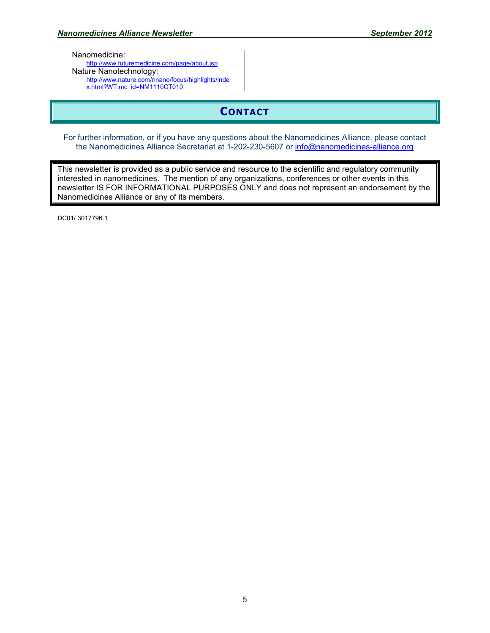Nanomedicine:

<http://www.futuremedicine.com/page/about.jsp> Nature Nanotechnology: [http://www.nature.com/nnano/focus/highlights/inde](http://www.nature.com/nnano/focus/highlights/index.html?WT.mc_id=NM1110CT010) [x.html?WT.mc\\_id=NM1110CT010](http://www.nature.com/nnano/focus/highlights/index.html?WT.mc_id=NM1110CT010) 

# **CONTACT**

For further information, or if you have any questions about the Nanomedicines Alliance, please contact the Nanomedicines Alliance Secretariat at 1-202-230-5607 or [info@nanomedicines-alliance.org](mailto:info@nanomedicines-alliance.org)

This newsletter is provided as a public service and resource to the scientific and regulatory community interested in nanomedicines. The mention of any organizations, conferences or other events in this newsletter IS FOR INFORMATIONAL PURPOSES ONLY and does not represent an endorsement by the Nanomedicines Alliance or any of its members.

DC01/ 3017796.1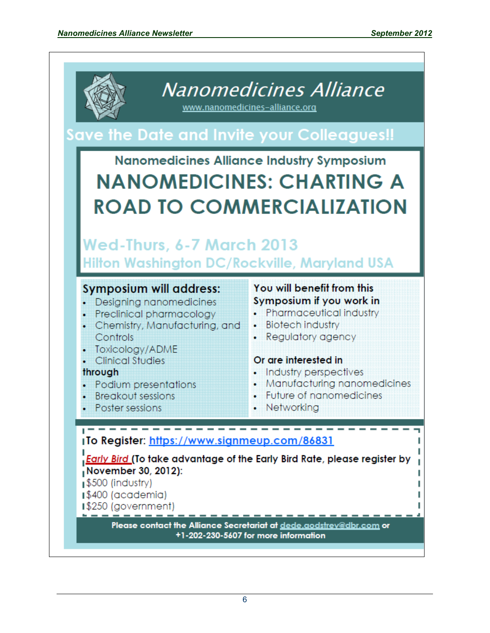

Nanomedicines Alliance

www.nanomedicines-alliance.org

# Save the Date and Invite your Colleagues!!

# **Nanomedicines Alliance Industry Symposium NANOMEDICINES: CHARTING A ROAD TO COMMERCIALIZATION**

# Wed-Thurs, 6-7 March 2013 Hilton Washington DC/Rockville, Maryland USA

# **Symposium will address:**

- Designing nanomedicines
- Preclinical pharmacology
- Chemistry, Manufacturing, and **Controls**
- Toxicology/ADME
- **Clinical Studies**

# through

- Podium presentations
- **Breakout sessions**
- **Poster sessions**

# You will benefit from this Symposium if you work in

- Pharmaceutical industry
- Biotech industry
- Regulatory agency

# Or are interested in

- Industry perspectives
- Manufacturing nanomedicines
- Future of nanomedicines
- Networking

# <sub>1</sub>To Register: https://www.signmeup.com/86831

**Early Bird (To take advantage of the Early Bird Rate, please register by** November 30, 2012):

S500 (industry)

- ∎\$400 (academia)
- **1\$250 (government)**

Please contact the Alliance Secretariat at dede.aodstrev@dbr.com or +1-202-230-5607 for more information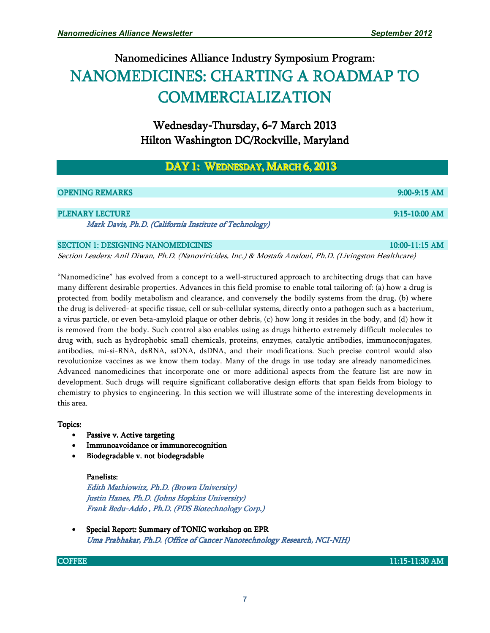# Nanomedicines Alliance Industry Symposium Program: NANOMEDICINES: CHARTING A ROADMAP TO **COMMERCIALIZATION**

Wednesday-Thursday, 6-7 March 2013 Hilton Washington DC/Rockville, Maryland

#### DAY 1: Wednesday, March 6, 2013 i<br>I

| <b>OPENING REMARKS</b>                                 | $9:00-9:15$ AM   |
|--------------------------------------------------------|------------------|
|                                                        |                  |
| <b>PLENARY LECTURE</b>                                 | $9:15-10:00$ AM  |
| Mark Davis, Ph.D. (California Institute of Technology) |                  |
| <b>SECTION 1: DESIGNING NANOMEDICINES</b>              | $10:00-11:15$ AM |

Section Leaders: Anil Diwan, Ph.D. (Nanoviricides, Inc.) & Mostafa Analoui, Ph.D. (Livingston Healthcare)

"Nanomedicine" has evolved from a concept to a well-structured approach to architecting drugs that can have many different desirable properties. Advances in this field promise to enable total tailoring of: (a) how a drug is protected from bodily metabolism and clearance, and conversely the bodily systems from the drug, (b) where the drug is delivered- at specific tissue, cell or sub-cellular systems, directly onto a pathogen such as a bacterium, a virus particle, or even beta-amyloid plaque or other debris, (c) how long it resides in the body, and (d) how it is removed from the body. Such control also enables using as drugs hitherto extremely difficult molecules to drug with, such as hydrophobic small chemicals, proteins, enzymes, catalytic antibodies, immunoconjugates, antibodies, mi-si-RNA, dsRNA, ssDNA, dsDNA, and their modifications. Such precise control would also revolutionize vaccines as we know them today. Many of the drugs in use today are already nanomedicines. Advanced nanomedicines that incorporate one or more additional aspects from the feature list are now in development. Such drugs will require significant collaborative design efforts that span fields from biology to chemistry to physics to engineering. In this section we will illustrate some of the interesting developments in this area.

#### Topics:

- Passive v. Active targeting
- Immunoavoidance or immunorecognition
- Biodegradable v. not biodegradable

#### Panelists:

Edith Mathiowitz, Ph.D. (Brown University) Justin Hanes, Ph.D. (Johns Hopkins University) Frank Bedu-Addo, Ph.D. (PDS Biotechnology Corp.)

Special Report: Summary of TONIC workshop on EPR Uma Prabhakar, Ph.D. (Office of Cancer Nanotechnology Research, NCI-NIH)

COFFEE 11:15-11:30AM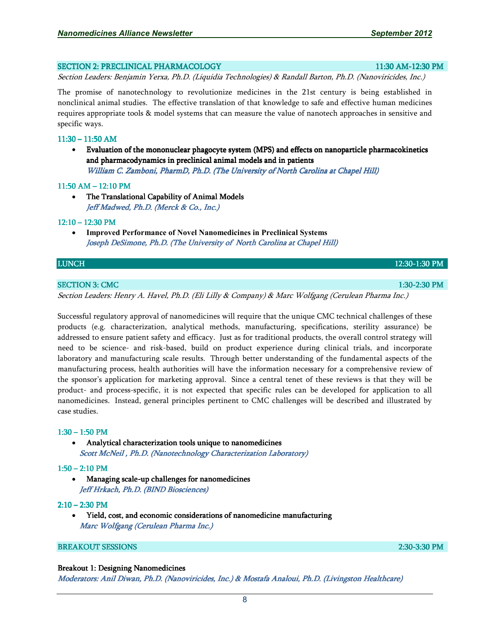#### SECTION 2: PRECLINICAL PHARMACOLOGY PHARMACOLOGY PHARMACOLOGY PHARMACOLOGY PHARMACOLOGY PHARMACOLOGY PHARMACOLOGY

Section Leaders: Benjamin Yerxa, Ph.D. (Liquidia Technologies) & Randall Barton, Ph.D. (Nanoviricides, Inc.)

The promise of nanotechnology to revolutionize medicines in the 21st century is being established in nonclinical animal studies. The effective translation of that knowledge to safe and effective human medicines requires appropriate tools & model systems that can measure the value of nanotech approaches in sensitive and specific ways.

#### $11:30 - 11:50$  AM

• Evaluation of the mononuclear phagocyte system (MPS) and effects on nanoparticle pharmacokinetics and pharmacodynamics in preclinical animal models and in patients William C. Zamboni, PharmD, Ph.D. (The University of North Carolina at Chapel Hill)

#### $11:50$  AM  $-12:10$  PM

• The Translational Capability of Animal Models Jeff Madwed, Ph.D. (Merck & Co., Inc.)

#### $12:10 - 12:30$  PM

• **Improved Performance of Novel Nanomedicines in Preclinical Systems**  Joseph DeSimone, Ph.D. (The University of North Carolina at Chapel Hill)

#### LUNCH 12:30 12:30-1:30PM

#### SECTION 3: CMC 1:30-2:30 PM

Section Leaders: Henry A. Havel, Ph.D. (Eli Lilly & Company) & Marc Wolfgang (Cerulean Pharma Inc.)

Successful regulatory approval of nanomedicines will require that the unique CMC technical challenges of these products (e.g. characterization, analytical methods, manufacturing, specifications, sterility assurance) be addressed to ensure patient safety and efficacy. Just as for traditional products, the overall control strategy will need to be science- and risk-based, build on product experience during clinical trials, and incorporate laboratory and manufacturing scale results. Through better understanding of the fundamental aspects of the manufacturing process, health authorities will have the information necessary for a comprehensive review of the sponsor's application for marketing approval. Since a central tenet of these reviews is that they will be product- and process-specific, it is not expected that specific rules can be developed for application to all nanomedicines. Instead, general principles pertinent to CMC challenges will be described and illustrated by case studies.

#### $1:30 - 1:50$  PM

• Analytical characterization tools unique to nanomedicines Scott McNeil, Ph.D. (Nanotechnology Characterization Laboratory)

#### $1:50 - 2:10$  PM

• Managing scale-up challenges for nanomedicines Jeff Hrkach, Ph.D. (BIND Biosciences)

#### $2:10 - 2:30$  PM

Yield, cost, and economic considerations of nanomedicine manufacturing Marc Wolfgang (Cerulean Pharma Inc.)

#### BREAKOUT SESSIONS BREAKOUT SESSIONS 2:30-3:30PM

#### Breakout 1: Designing Nanomedicines

Moderators: Anil Diwan, Ph.D. (Nanoviricides, Inc.) & Mostafa Analoui, Ph.D. (Livingston Healthcare)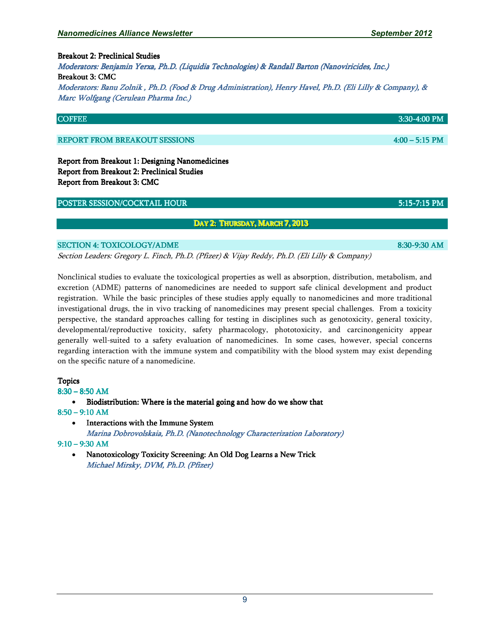9

Breakout 2: Preclinical Studies Moderators: Benjamin Yerxa, Ph.D. (Liquidia Technologies) & Randall Barton (Nanoviricides, Inc.) Breakout 3: CMC Moderators: Banu Zolnik , Ph.D. (Food & Drug Administration), Henry Havel, Ph.D. (Eli Lilly & Company), & Marc Wolfgang (Cerulean Pharma Inc.)

#### REPORT FROM BREAKOUT SESSIONS BREAKOUT SESSIONS ACCESSIONS AND LOCAL AND LOCAL AND POST OF THE PM PM SESSIONS

Report from Breakout 1: Designing Nanomedicines Report from Breakout 2: Preclinical Studies Report from Breakout 3: CMC

#### POSTER SESSION/COCKTAIL HOUR **FOR EXAMPLE 2008** SEPTER 35:15-7:15 PM

#### Day 2: Thursday, March 7, 2013

#### SECTION 4: TOXICOLOGY/ADME 8:30-9:30 AM

Section Leaders: Gregory L. Finch, Ph.D. (Pfizer) & Vijay Reddy, Ph.D. (Eli Lilly & Company)

Nonclinical studies to evaluate the toxicological properties as well as absorption, distribution, metabolism, and excretion (ADME) patterns of nanomedicines are needed to support safe clinical development and product registration. While the basic principles of these studies apply equally to nanomedicines and more traditional investigational drugs, the in vivo tracking of nanomedicines may present special challenges. From a toxicity perspective, the standard approaches calling for testing in disciplines such as genotoxicity, general toxicity, developmental/reproductive toxicity, safety pharmacology, phototoxicity, and carcinongenicity appear generally well-suited to a safety evaluation of nanomedicines. In some cases, however, special concerns regarding interaction with the immune system and compatibility with the blood system may exist depending on the specific nature of a nanomedicine.

#### Topics

8:30 –8:50 AM

• Biodistribution: Where is the material going and how do we show that 8:50–9:10 AM

• Interactions with the Immune System

Marina Dobrovolskaia, Ph.D. (Nanotechnology Characterization Laboratory) 9:10 –9:30 AM

Nanotoxicology Toxicity Screening: An Old Dog Learns a New Trick Michael Mirsky, DVM, Ph.D. (Pfizer)

 $\rm CO$ FFEE  $_{\rm 3:30-4:00~PM}$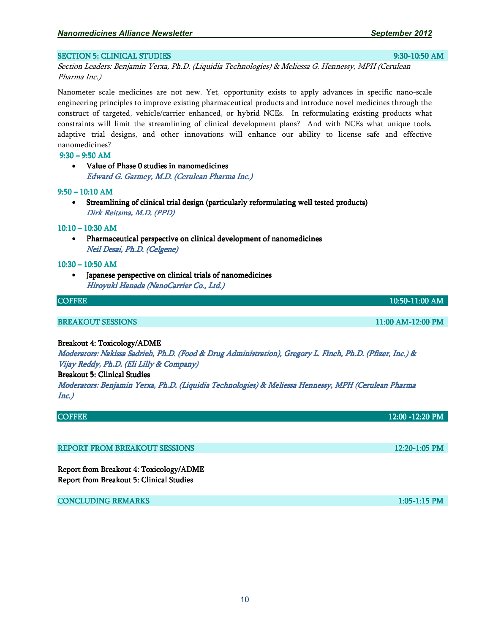### SECTION 5: CLINICAL STUDIES 9:30-10:50AM

Section Leaders: Benjamin Yerxa, Ph.D. (Liquidia Technologies) & Meliessa G. Hennessy, MPH (Cerulean Pharma Inc.)

Nanometer scale medicines are not new. Yet, opportunity exists to apply advances in specific nano-scale engineering principles to improve existing pharmaceutical products and introduce novel medicines through the construct of targeted, vehicle/carrier enhanced, or hybrid NCEs. In reformulating existing products what constraints will limit the streamlining of clinical development plans? And with NCEs what unique tools, adaptive trial designs, and other innovations will enhance our ability to license safe and effective nanomedicines?

#### $9:30 - 9:50$  AM

• Value of Phase 0 studies in nanomedicines Edward G. Garmey, M.D. (Cerulean Pharma Inc.)

#### $9:50 - 10:10$  AM

Streamlining of clinical trial design (particularly reformulating well tested products) Dirk Reitsma, M.D. (PPD)

#### $10:10 - 10:30$  AM

• Pharmaceutical perspective on clinical development of nanomedicines Neil Desai, Ph.D. (Celgene)

#### $10:30 - 10:50$  AM

Japanese perspective on clinical trials of nanomedicines Hiroyuki Hanada (NanoCarrier Co., Ltd.)

#### COFFEE **10:50-11:00 AM**

#### BREAKOUT SESSIONS BREAKOUT SESSIONS 11:00AM-12:00PM

#### Breakout 4: Toxicology/ADME

Moderators: Nakissa Sadrieh, Ph.D. (Food & Drug Administration), Gregory L. Finch, Ph.D. (Pfizer, Inc.) & Vijay Reddy, Ph.D. (Eli Lilly & Company)

#### Breakout 5: Clinical Studies

Moderators: Benjamin Yerxa, Ph.D. (Liquidia Technologies) & Meliessa Hennessy, MPH (Cerulean Pharma Inc.)

| <b>COFFEE</b>                        | 12:00 -12:20 PM |
|--------------------------------------|-----------------|
|                                      |                 |
|                                      |                 |
| <b>REPORT FROM BREAKOUT SESSIONS</b> | $12:20-1:05$ PM |
|                                      |                 |

Report from Breakout 4: Toxicology/ADME Report from Breakout 5: Clinical Studies

**CONCLUDING REMARKS 1:05-1:15 PM**